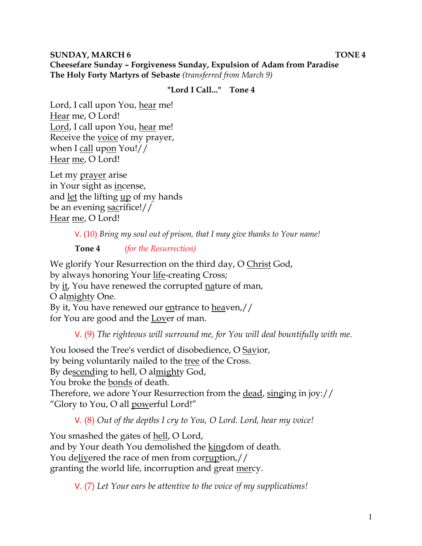**SUNDAY, MARCH 6 TONE 4 Cheesefare Sunday – Forgiveness Sunday, Expulsion of Adam from Paradise The Holy Forty Martyrs of Sebaste** *(transferred from March 9)*

#### **"Lord I Call..." Tone 4**

Lord, I call upon You, hear me! Hear me, O Lord! Lord, I call upon You, hear me! Receive the voice of my prayer, when I call upon You!// Hear me, O Lord!

Let my prayer arise in Your sight as incense, and let the lifting up of my hands be an evening sacrifice!// Hear me, O Lord!

V. (10) *Bring my soul out of prison, that I may give thanks to Your name!* 

**Tone 4** *(for the Resurrection)* 

We glorify Your Resurrection on the third day, O Christ God, by always honoring Your life-creating Cross; by it, You have renewed the corrupted nature of man, O almighty One. By it, You have renewed our entrance to heaven,// for You are good and the Lover of man.

V. (9) *The righteous will surround me, for You will deal bountifully with me.* 

You loosed the Tree's verdict of disobedience, O Savior, by being voluntarily nailed to the tree of the Cross. By descending to hell, O almighty God, You broke the bonds of death. Therefore, we adore Your Resurrection from the dead, singing in joy:// "Glory to You, O all powerful Lord!"

V. (8) *Out of the depths I cry to You, O Lord. Lord, hear my voice!* 

You smashed the gates of hell, O Lord, and by Your death You demolished the kingdom of death. You delivered the race of men from corruption,// granting the world life, incorruption and great mercy.

V. (7) *Let Your ears be attentive to the voice of my supplications!*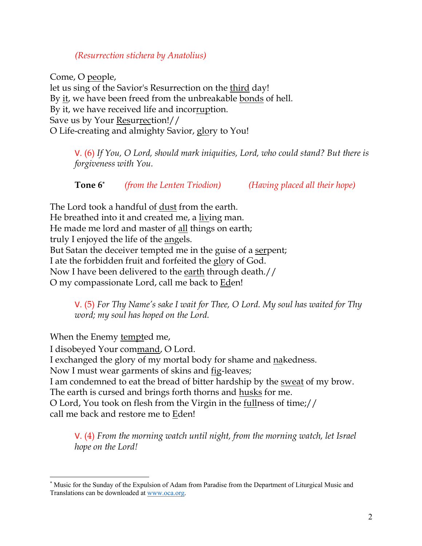#### *(Resurrection stichera by Anatolius)*

Come, O people, let us sing of the Savior's Resurrection on the third day! By it, we have been freed from the unbreakable bonds of hell. By it, we have received life and incorruption. Save us by Your Resurrection!// O Life-creating and almighty Savior, glory to You!

V. (6) *If You, O Lord, should mark iniquities, Lord, who could stand? But there is forgiveness with You.* 

**Tone 6\*** *(from the Lenten Triodion) (Having placed all their hope)*

The Lord took a handful of dust from the earth. He breathed into it and created me, a living man. He made me lord and master of all things on earth; truly I enjoyed the life of the angels. But Satan the deceiver tempted me in the guise of a serpent; I ate the forbidden fruit and forfeited the glory of God. Now I have been delivered to the earth through death.// O my compassionate Lord, call me back to Eden!

> V. (5) *For Thy Name's sake I wait for Thee, O Lord. My soul has waited for Thy word; my soul has hoped on the Lord.*

When the Enemy tempted me,

I disobeyed Your command, O Lord.

I exchanged the glory of my mortal body for shame and nakedness.

Now I must wear garments of skins and <u>fig</u>-leaves;

I am condemned to eat the bread of bitter hardship by the sweat of my brow. The earth is cursed and brings forth thorns and <u>husks</u> for me.

O Lord, You took on flesh from the Virgin in the fullness of time;// call me back and restore me to Eden!

V. (4) *From the morning watch until night, from the morning watch, let Israel hope on the Lord!* 

<sup>\*</sup> Music for the Sunday of the Expulsion of Adam from Paradise from the Department of Liturgical Music and Translations can be downloaded at www.oca.org.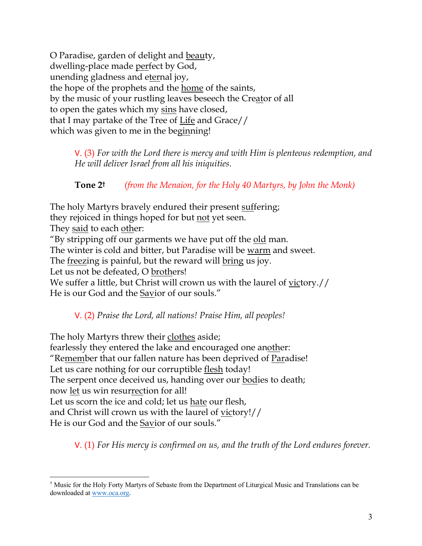O Paradise, garden of delight and beauty, dwelling-place made perfect by God, unending gladness and eternal joy, the hope of the prophets and the home of the saints, by the music of your rustling leaves beseech the Creator of all to open the gates which my sins have closed, that I may partake of the Tree of Life and Grace// which was given to me in the beginning!

V. (3) *For with the Lord there is mercy and with Him is plenteous redemption, and He will deliver Israel from all his iniquities.*

**Tone 2†** *(from the Menaion, for the Holy 40 Martyrs, by John the Monk)*

The holy Martyrs bravely endured their present suffering;

they rejoiced in things hoped for but not yet seen.

They said to each other:

"By stripping off our garments we have put off the old man.

The winter is cold and bitter, but Paradise will be warm and sweet.

The <u>freezing</u> is painful, but the reward will bring us joy.

Let us not be defeated, O brothers!

We suffer a little, but Christ will crown us with the laurel of victory.// He is our God and the Savior of our souls."

V. (2) *Praise the Lord, all nations! Praise Him, all peoples!*

The holy Martyrs threw their clothes aside; fearlessly they entered the lake and encouraged one another: "Remember that our fallen nature has been deprived of Paradise! Let us care nothing for our corruptible flesh today! The serpent once deceived us, handing over our bodies to death; now let us win resurrection for all! Let us scorn the ice and cold; let us hate our flesh, and Christ will crown us with the laurel of victory!// He is our God and the Savior of our souls."

V. (1) *For His mercy is confirmed on us, and the truth of the Lord endures forever.* 

<sup>†</sup> Music for the Holy Forty Martyrs of Sebaste from the Department of Liturgical Music and Translations can be downloaded at www.oca.org.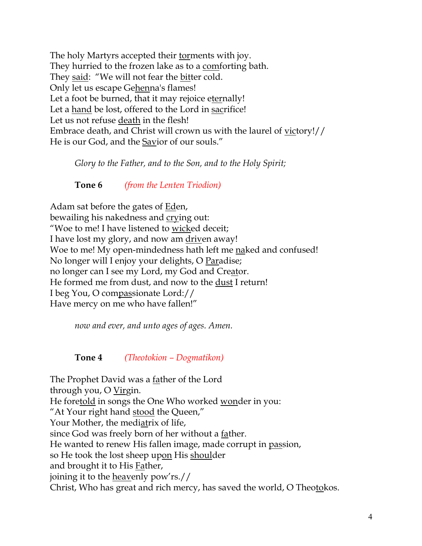The holy Martyrs accepted their torments with joy. They hurried to the frozen lake as to a comforting bath. They said: "We will not fear the bitter cold. Only let us escape Gehenna's flames! Let a foot be burned, that it may rejoice eternally! Let a hand be lost, offered to the Lord in sacrifice! Let us not refuse death in the flesh! Embrace death, and Christ will crown us with the laurel of victory!// He is our God, and the Savior of our souls."

*Glory to the Father, and to the Son, and to the Holy Spirit;*

**Tone 6** *(from the Lenten Triodion)*

Adam sat before the gates of Eden, bewailing his nakedness and crying out: "Woe to me! I have listened to wicked deceit; I have lost my glory, and now am driven away! Woe to me! My open-mindedness hath left me naked and confused! No longer will I enjoy your delights, O Paradise; no longer can I see my Lord, my God and Creator. He formed me from dust, and now to the dust I return! I beg You, O compassionate Lord:// Have mercy on me who have fallen!"

*now and ever, and unto ages of ages. Amen.* 

**Tone 4** *(Theotokion – Dogmatikon)*

The Prophet David was a father of the Lord through you, O Virgin. He foretold in songs the One Who worked wonder in you: "At Your right hand stood the Queen," Your Mother, the mediatrix of life, since God was freely born of her without a father. He wanted to renew His fallen image, made corrupt in passion, so He took the lost sheep upon His shoulder and brought it to His Father, joining it to the heavenly pow'rs.// Christ, Who has great and rich mercy, has saved the world, O Theotokos.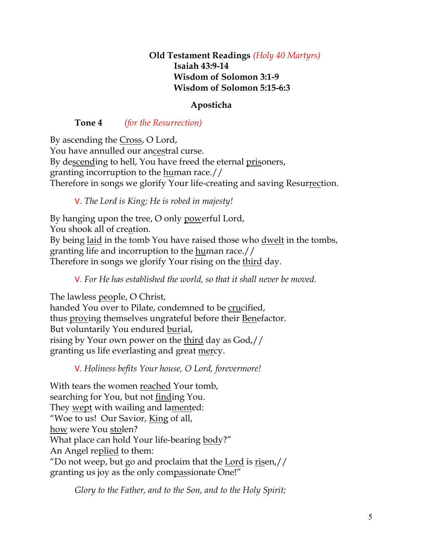## **Old Testament Readings** *(Holy 40 Martyrs)* **Isaiah 43:9-14 Wisdom of Solomon 3:1-9 Wisdom of Solomon 5:15-6:3**

# **Aposticha**

# **Tone 4** *(for the Resurrection)*

By ascending the Cross, O Lord, You have annulled our ancestral curse. By descending to hell, You have freed the eternal prisoners, granting incorruption to the human race.// Therefore in songs we glorify Your life-creating and saving Resurrection.

V. *The Lord is King; He is robed in majesty!* 

By hanging upon the tree, O only powerful Lord, You shook all of creation. By being laid in the tomb You have raised those who dwelt in the tombs, granting life and incorruption to the human race.// Therefore in songs we glorify Your rising on the third day.

V. *For He has established the world, so that it shall never be moved.*

The lawless people, O Christ, handed You over to Pilate, condemned to be crucified, thus proving themselves ungrateful before their Benefactor. But voluntarily You endured burial, rising by Your own power on the third day as God,// granting us life everlasting and great mercy.

V. *Holiness befits Your house, O Lord, forevermore!* 

With tears the women reached Your tomb, searching for You, but not finding You. They wept with wailing and lamented: "Woe to us! Our Savior, King of all, how were You stolen? What place can hold Your life-bearing body?" An Angel replied to them: "Do not weep, but go and proclaim that the Lord is risen,// granting us joy as the only compassionate One!"

*Glory to the Father, and to the Son, and to the Holy Spirit;*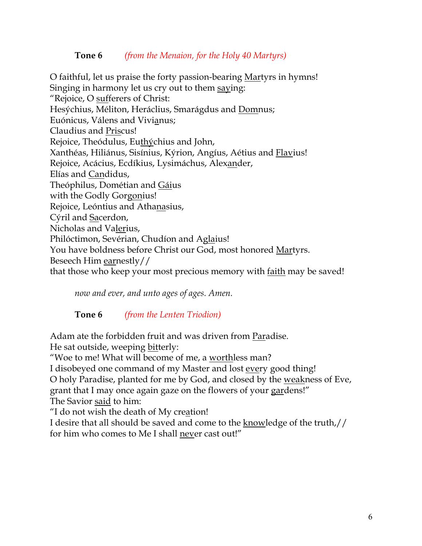#### **Tone 6** *(from the Menaion, for the Holy 40 Martyrs)*

O faithful, let us praise the forty passion-bearing Martyrs in hymns! Singing in harmony let us cry out to them saying: "Rejoice, O sufferers of Christ: Hesýchius, Méliton, Heráclius, Smarágdus and Domnus; Euónicus, Válens and Vivianus; Claudius and Priscus! Rejoice, Theódulus, Euthýchius and John, Xanthéas, Hiliánus, Sisínius, Kýrion, Angíus, Aétius and Flavius! Rejoice, Acácius, Ecdíkius, Lysimáchus, Alexander, Elías and Candidus, Theóphilus, Dométian and Gáius with the Godly Gorgonius! Rejoice, Leóntius and Athanasius, Cýril and Sacerdon, Nicholas and Valerius, Philóctimon, Sevérian, Chudíon and Aglaius! You have boldness before Christ our God, most honored Martyrs. Beseech Him earnestly// that those who keep your most precious memory with faith may be saved!

*now and ever, and unto ages of ages. Amen.*

# **Tone 6** *(from the Lenten Triodion)*

Adam ate the forbidden fruit and was driven from Paradise. He sat outside, weeping bitterly:

"Woe to me! What will become of me, a worthless man?

I disobeyed one command of my Master and lost every good thing!

O holy Paradise, planted for me by God, and closed by the weakness of Eve,

grant that I may once again gaze on the flowers of your gardens!"

The Savior said to him:

"I do not wish the death of My creation!

I desire that all should be saved and come to the knowledge of the truth,// for him who comes to Me I shall never cast out!"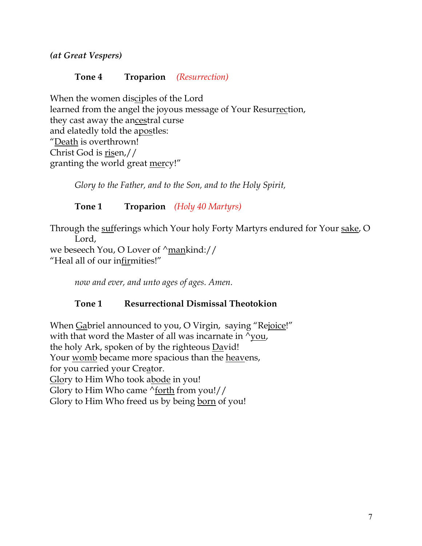*(at Great Vespers)*

# **Tone 4 Troparion** *(Resurrection)*

When the women disciples of the Lord learned from the angel the joyous message of Your Resurrection, they cast away the ancestral curse and elatedly told the apostles: "Death is overthrown! Christ God is risen,// granting the world great mercy!"

*Glory to the Father, and to the Son, and to the Holy Spirit,*

**Tone 1 Troparion** *(Holy 40 Martyrs)*

Through the sufferings which Your holy Forty Martyrs endured for Your sake, O Lord, we beseech You, O Lover of  $\gamma$ mankind://

"Heal all of our infirmities!"

*now and ever, and unto ages of ages. Amen.*

# **Tone 1 Resurrectional Dismissal Theotokion**

When Gabriel announced to you, O Virgin, saying "Rejoice!" with that word the Master of all was incarnate in  $\gamma_{\text{you}}$ , the holy Ark, spoken of by the righteous David! Your womb became more spacious than the heavens, for you carried your Creator. Glory to Him Who took abode in you! Glory to Him Who came ^forth from you!// Glory to Him Who freed us by being born of you!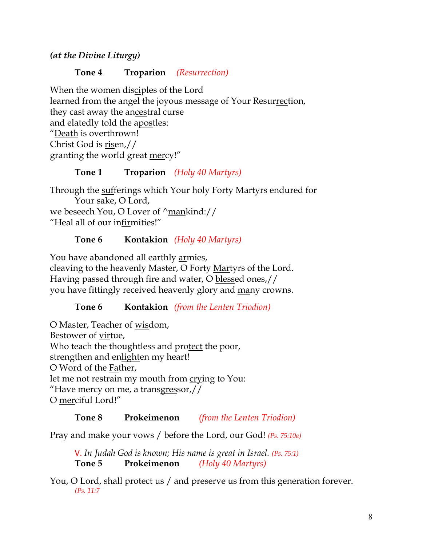*(at the Divine Liturgy)*

# **Tone 4 Troparion** *(Resurrection)*

When the women disciples of the Lord learned from the angel the joyous message of Your Resurrection, they cast away the ancestral curse and elatedly told the apostles: "Death is overthrown! Christ God is risen,// granting the world great mercy!"

# **Tone 1 Troparion** *(Holy 40 Martyrs)*

Through the sufferings which Your holy Forty Martyrs endured for Your sake, O Lord, we beseech You, O Lover of  $\gamma$ mankind:// "Heal all of our infirmities!"

# **Tone 6 Kontakion** *(Holy 40 Martyrs)*

You have abandoned all earthly armies, cleaving to the heavenly Master, O Forty Martyrs of the Lord. Having passed through fire and water, O blessed ones,// you have fittingly received heavenly glory and many crowns.

# **Tone 6 Kontakion** *(from the Lenten Triodion)*

O Master, Teacher of wisdom, Bestower of virtue, Who teach the thoughtless and protect the poor, strengthen and enlighten my heart! O Word of the Father, let me not restrain my mouth from crying to You: "Have mercy on me, a transgressor,// O merciful Lord!"

# **Tone 8 Prokeimenon** *(from the Lenten Triodion)*

Pray and make your vows / before the Lord, our God! *(Ps. 75:10a)*

V. *In Judah God is known; His name is great in Israel. (Ps. 75:1)* **Tone 5 Prokeimenon** *(Holy 40 Martyrs)*

You, O Lord, shall protect us / and preserve us from this generation forever. *(Ps. 11:7*